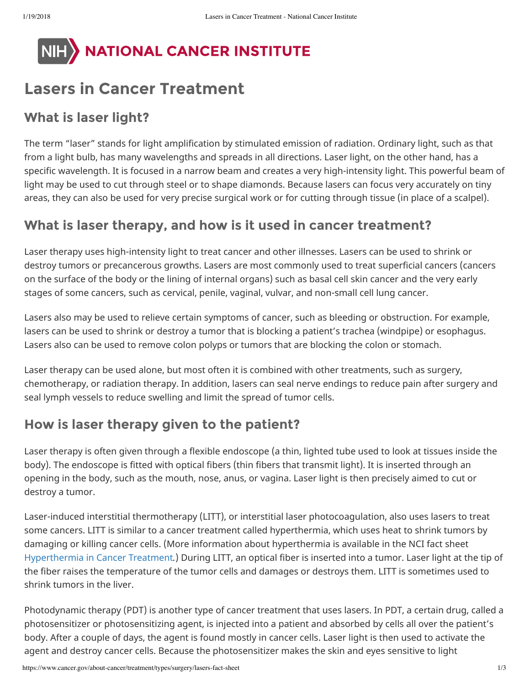

# **Lasers in Cancer Treatment**

#### **What is laser light?**

The term "laser" stands for light amplification by stimulated emission of radiation. Ordinary light, such as that from a light bulb, has many wavelengths and spreads in all directions. Laser light, on the other hand, has a specific wavelength. It is focused in a narrow beam and creates a very high-intensity light. This powerful beam of light may be used to cut through steel or to shape diamonds. Because lasers can focus very accurately on tiny areas, they can also be used for very precise surgical work or for cutting through tissue (in place of a scalpel).

### **What is laser therapy, and how is it used in cancer treatment?**

Laser therapy uses high-intensity light to treat cancer and other illnesses. Lasers can be used to shrink or destroy tumors or precancerous growths. Lasers are most commonly used to treat superficial cancers (cancers on the surface of the body or the lining of internal organs) such as basal cell skin cancer and the very early stages of some cancers, such as cervical, penile, vaginal, vulvar, and non-small cell lung cancer.

Lasers also may be used to relieve certain symptoms of cancer, such as bleeding or obstruction. For example, lasers can be used to shrink or destroy a tumor that is blocking a patient's trachea (windpipe) or esophagus. Lasers also can be used to remove colon polyps or tumors that are blocking the colon or stomach.

Laser therapy can be used alone, but most often it is combined with other treatments, such as surgery, chemotherapy, or radiation therapy. In addition, lasers can seal nerve endings to reduce pain after surgery and seal lymph vessels to reduce swelling and limit the spread of tumor cells.

# **How is laser therapy given to the patient?**

Laser therapy is often given through a flexible endoscope (a thin, lighted tube used to look at tissues inside the body). The endoscope is fitted with optical fibers (thin fibers that transmit light). It is inserted through an opening in the body, such as the mouth, nose, anus, or vagina. Laser light is then precisely aimed to cut or destroy a tumor.

Laser-induced interstitial thermotherapy (LITT), or interstitial laser photocoagulation, also uses lasers to treat some cancers. LITT is similar to a cancer treatment called hyperthermia, which uses heat to shrink tumors by damaging or killing cancer cells. (More information about hyperthermia is available in the NCI fact sheet Hyperthermia in Cancer Treatment*.*) During LITT, an optical fiber is inserted into a tumor. Laser light at the tip of the fiber raises the temperature of the tumor cells and damages or destroys them. LITT is sometimes used to shrink tumors in the liver.

Photodynamic therapy (PDT) is another type of cancer treatment that uses lasers. In PDT, a certain drug, called a photosensitizer or photosensitizing agent, is injected into a patient and absorbed by cells all over the patient's body. After a couple of days, the agent is found mostly in cancer cells. Laser light is then used to activate the agent and destroy cancer cells. Because the photosensitizer makes the skin and eyes sensitive to light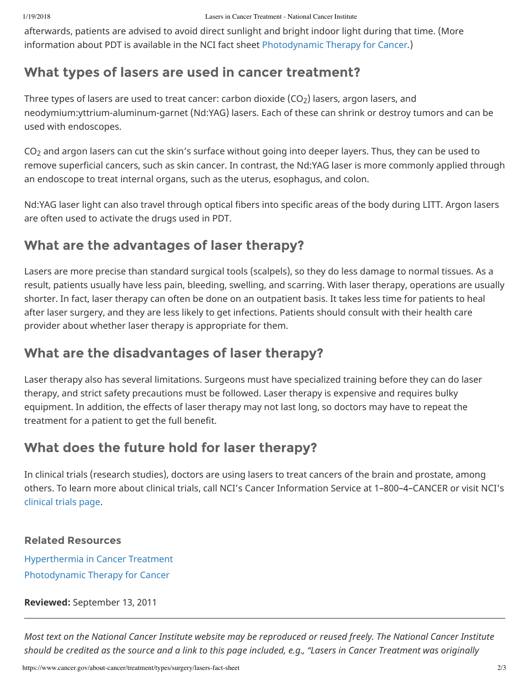afterwards, patients are advised to avoid direct sunlight and bright indoor light during that time. (More information about PDT is available in the NCI fact sheet Photodynamic Therapy for Cancer*.*)

### **What types of lasers are used in cancer treatment?**

Three types of lasers are used to treat cancer: carbon dioxide (CO $_2$ ) lasers, argon lasers, and neodymium:yttrium-aluminum-garnet (Nd:YAG) lasers. Each of these can shrink or destroy tumors and can be used with endoscopes.

 $\textsf{CO}_2$  and argon lasers can cut the skin's surface without going into deeper layers. Thus, they can be used to remove superficial cancers, such as skin cancer. In contrast, the Nd:YAG laser is more commonly applied through an endoscope to treat internal organs, such as the uterus, esophagus, and colon.

Nd:YAG laser light can also travel through optical fibers into specific areas of the body during LITT. Argon lasers are often used to activate the drugs used in PDT.

### **What are the advantages of laser therapy?**

Lasers are more precise than standard surgical tools (scalpels), so they do less damage to normal tissues. As a result, patients usually have less pain, bleeding, swelling, and scarring. With laser therapy, operations are usually shorter. In fact, laser therapy can often be done on an outpatient basis. It takes less time for patients to heal after laser surgery, and they are less likely to get infections. Patients should consult with their health care provider about whether laser therapy is appropriate for them.

#### **What are the disadvantages of laser therapy?**

Laser therapy also has several limitations. Surgeons must have specialized training before they can do laser therapy, and strict safety precautions must be followed. Laser therapy is expensive and requires bulky equipment. In addition, the effects of laser therapy may not last long, so doctors may have to repeat the treatment for a patient to get the full benefit.

# **What does the future hold for laser therapy?**

In clinical trials (research studies), doctors are using lasers to treat cancers of the brain and prostate, among others. To learn more about clinical trials, call NCI's Cancer Information Service at 1–800–4–CANCER or visit NCI's clinical trials page.

#### **Related Resources**

Hyperthermia in Cancer Treatment Photodynamic Therapy for Cancer

**Reviewed:** September 13, 2011

*Most text on the National Cancer Institute website may be reproduced or reused freely. The National Cancer Institute should be credited as the source and a link to this page included, e.g., "Lasers in Cancer Treatment was originally*